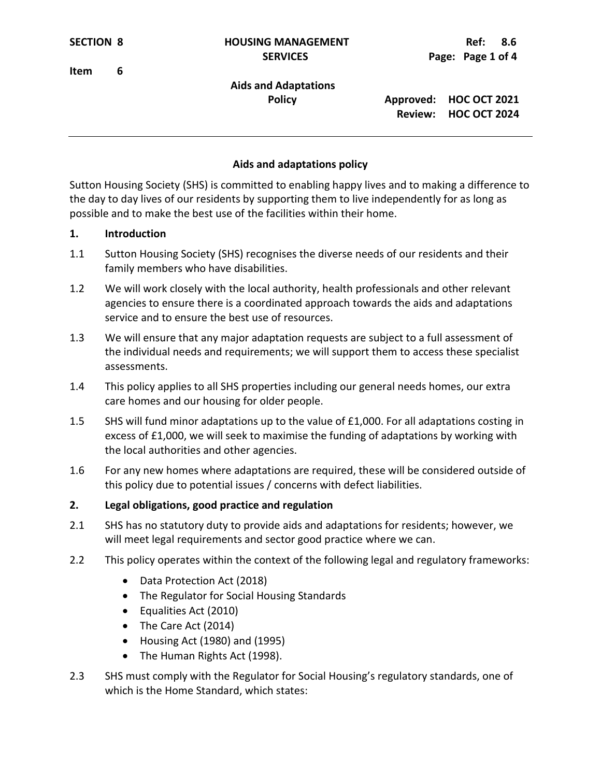**Item 6**

# **Aids and Adaptations**

 **Policy Approved: HOC OCT 2021 Review: HOC OCT 2024**

### **Aids and adaptations policy**

Sutton Housing Society (SHS) is committed to enabling happy lives and to making a difference to the day to day lives of our residents by supporting them to live independently for as long as possible and to make the best use of the facilities within their home.

#### **1. Introduction**

- 1.1 Sutton Housing Society (SHS) recognises the diverse needs of our residents and their family members who have disabilities.
- 1.2 We will work closely with the local authority, health professionals and other relevant agencies to ensure there is a coordinated approach towards the aids and adaptations service and to ensure the best use of resources.
- 1.3 We will ensure that any major adaptation requests are subject to a full assessment of the individual needs and requirements; we will support them to access these specialist assessments.
- 1.4 This policy applies to all SHS properties including our general needs homes, our extra care homes and our housing for older people.
- 1.5 SHS will fund minor adaptations up to the value of £1,000. For all adaptations costing in excess of £1,000, we will seek to maximise the funding of adaptations by working with the local authorities and other agencies.
- 1.6 For any new homes where adaptations are required, these will be considered outside of this policy due to potential issues / concerns with defect liabilities.

#### **2. Legal obligations, good practice and regulation**

- 2.1 SHS has no statutory duty to provide aids and adaptations for residents; however, we will meet legal requirements and sector good practice where we can.
- 2.2 This policy operates within the context of the following legal and regulatory frameworks:
	- Data Protection Act (2018)
	- The Regulator for Social Housing Standards
	- Equalities Act (2010)
	- The Care Act (2014)
	- Housing Act (1980) and (1995)
	- The Human Rights Act (1998).
- 2.3 SHS must comply with the Regulator for Social Housing's regulatory standards, one of which is the Home Standard, which states: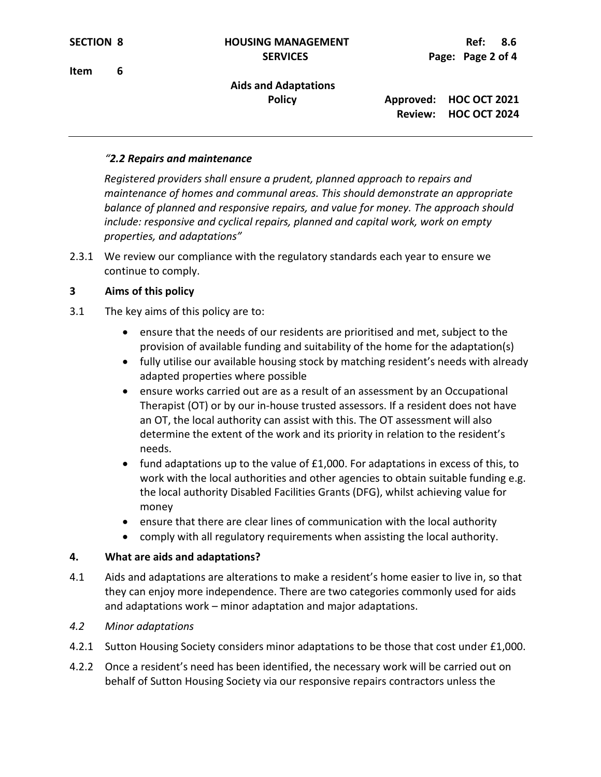# **Aids and Adaptations**

 **Policy Approved: HOC OCT 2021 Review: HOC OCT 2024**

### *"2.2 Repairs and maintenance*

*Registered providers shall ensure a prudent, planned approach to repairs and maintenance of homes and communal areas. This should demonstrate an appropriate balance of planned and responsive repairs, and value for money. The approach should include: responsive and cyclical repairs, planned and capital work, work on empty properties, and adaptations"*

2.3.1 We review our compliance with the regulatory standards each year to ensure we continue to comply.

## **3 Aims of this policy**

- 3.1 The key aims of this policy are to:
	- ensure that the needs of our residents are prioritised and met, subject to the provision of available funding and suitability of the home for the adaptation(s)
	- fully utilise our available housing stock by matching resident's needs with already adapted properties where possible
	- ensure works carried out are as a result of an assessment by an Occupational Therapist (OT) or by our in-house trusted assessors. If a resident does not have an OT, the local authority can assist with this. The OT assessment will also determine the extent of the work and its priority in relation to the resident's needs.
	- fund adaptations up to the value of £1,000. For adaptations in excess of this, to work with the local authorities and other agencies to obtain suitable funding e.g. the local authority Disabled Facilities Grants (DFG), whilst achieving value for money
	- ensure that there are clear lines of communication with the local authority
	- comply with all regulatory requirements when assisting the local authority.

## **4. What are aids and adaptations?**

- 4.1 Aids and adaptations are alterations to make a resident's home easier to live in, so that they can enjoy more independence. There are two categories commonly used for aids and adaptations work – minor adaptation and major adaptations.
- *4.2 Minor adaptations*
- 4.2.1 Sutton Housing Society considers minor adaptations to be those that cost under £1,000.
- 4.2.2 Once a resident's need has been identified, the necessary work will be carried out on behalf of Sutton Housing Society via our responsive repairs contractors unless the

**Item 6**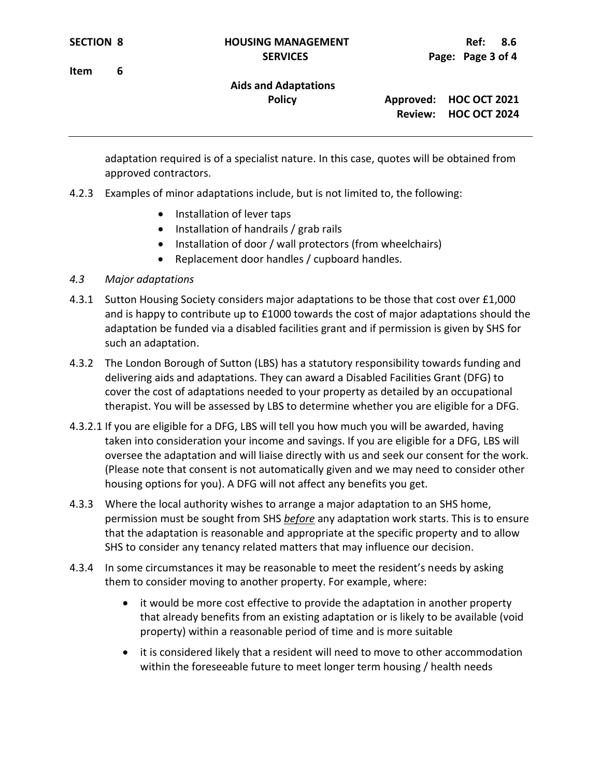**Item 6**

# **Aids and Adaptations**

 **Policy Approved: HOC OCT 2021 Review: HOC OCT 2024**

adaptation required is of a specialist nature. In this case, quotes will be obtained from approved contractors.

- 4.2.3 Examples of minor adaptations include, but is not limited to, the following:
	- Installation of lever taps
	- Installation of handrails / grab rails
	- Installation of door / wall protectors (from wheelchairs)
	- Replacement door handles / cupboard handles.

### *4.3 Major adaptations*

- 4.3.1 Sutton Housing Society considers major adaptations to be those that cost over £1,000 and is happy to contribute up to £1000 towards the cost of major adaptations should the adaptation be funded via a disabled facilities grant and if permission is given by SHS for such an adaptation.
- 4.3.2 The London Borough of Sutton (LBS) has a statutory responsibility towards funding and delivering aids and adaptations. They can award a Disabled Facilities Grant (DFG) to cover the cost of adaptations needed to your property as detailed by an occupational therapist. You will be assessed by LBS to determine whether you are eligible for a DFG.
- 4.3.2.1 If you are eligible for a DFG, LBS will tell you how much you will be awarded, having taken into consideration your income and savings. If you are eligible for a DFG, LBS will oversee the adaptation and will liaise directly with us and seek our consent for the work. (Please note that consent is not automatically given and we may need to consider other housing options for you). A DFG will not affect any benefits you get.
- 4.3.3 Where the local authority wishes to arrange a major adaptation to an SHS home, permission must be sought from SHS *before* any adaptation work starts. This is to ensure that the adaptation is reasonable and appropriate at the specific property and to allow SHS to consider any tenancy related matters that may influence our decision.
- 4.3.4 In some circumstances it may be reasonable to meet the resident's needs by asking them to consider moving to another property. For example, where:
	- it would be more cost effective to provide the adaptation in another property that already benefits from an existing adaptation or is likely to be available (void property) within a reasonable period of time and is more suitable
	- it is considered likely that a resident will need to move to other accommodation within the foreseeable future to meet longer term housing / health needs